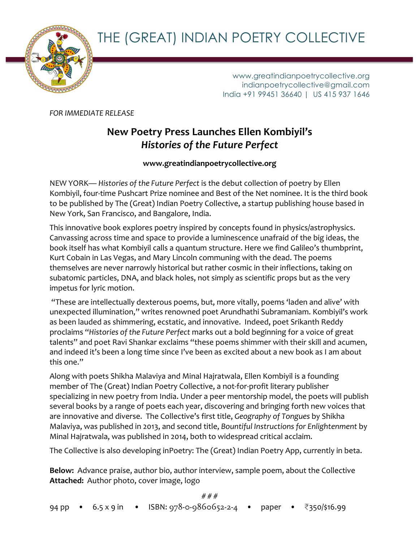THE (GREAT) INDIAN POETRY COLLECTIVE



www.greatindianpoetrycollective.org indianpoetrycollective@gmail.com India +91 99451 36640 | US 415 937 1646

*FOR IMMEDIATE RELEASE* 

# **New Poetry Press Launches Ellen Kombiyil's** *Histories of the Future Perfect*

**www.greatindianpoetrycollective.org**

NEW YORK— Histories of the Future Perfect is the debut collection of poetry by Ellen Kombiyil, four-time Pushcart Prize nominee and Best of the Net nominee. It is the third book to be published by The (Great) Indian Poetry Collective, a startup publishing house based in New York, San Francisco, and Bangalore, India.

This innovative book explores poetry inspired by concepts found in physics/astrophysics. Canvassing across time and space to provide a luminescence unafraid of the big ideas, the book itself has what Kombiyil calls a quantum structure. Here we find Galileo's thumbprint, Kurt Cobain in Las Vegas, and Mary Lincoln communing with the dead. The poems themselves are never narrowly historical but rather cosmic in their inflections, taking on subatomic particles, DNA, and black holes, not simply as scientific props but as the very impetus for lyric motion.

"These are intellectually dexterous poems, but, more vitally, poems 'laden and alive' with unexpected illumination," writes renowned poet Arundhathi Subramaniam. Kombiyil's work as been lauded as shimmering, ecstatic, and innovative. Indeed, poet Srikanth Reddy proclaims "Histories of the Future Perfect marks out a bold beginning for a voice of great talents" and poet Ravi Shankar exclaims "these poems shimmer with their skill and acumen, and indeed it's been a long time since I've been as excited about a new book as I am about this one."

Along with poets Shikha Malaviya and Minal Hajratwala, Ellen Kombiyil is a founding member of The (Great) Indian Poetry Collective, a not-for-profit literary publisher specializing in new poetry from India. Under a peer mentorship model, the poets will publish several books by a range of poets each year, discovering and bringing forth new voices that are innovative and diverse. The Collective's first title, Geography of Tongues by Shikha Malaviya, was published in 2013, and second title, Bountiful Instructions for Enlightenment by Minal Hajratwala, was published in 2014, both to widespread critical acclaim.

The Collective is also developing inPoetry: The (Great) Indian Poetry App, currently in beta.

Below: Advance praise, author bio, author interview, sample poem, about the Collective Attached: Author photo, cover image, logo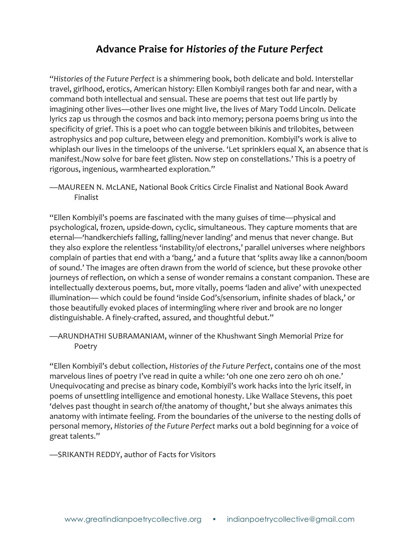# **Advance Praise for** *Histories of the Future Perfect*

"Histories of the Future Perfect is a shimmering book, both delicate and bold. Interstellar travel, girlhood, erotics, American history: Ellen Kombiyil ranges both far and near, with a command both intellectual and sensual. These are poems that test out life partly by imagining other lives—other lives one might live, the lives of Mary Todd Lincoln. Delicate lyrics zap us through the cosmos and back into memory; persona poems bring us into the specificity of grief. This is a poet who can toggle between bikinis and trilobites, between astrophysics and pop culture, between elegy and premonition. Kombiyil's work is alive to whiplash our lives in the timeloops of the universe. 'Let sprinklers equal X, an absence that is manifest./Now solve for bare feet glisten. Now step on constellations.' This is a poetry of rigorous, ingenious, warmhearted exploration."

-MAUREEN N. McLANE, National Book Critics Circle Finalist and National Book Award Finalist 

"Ellen Kombiyil's poems are fascinated with the many guises of time—physical and psychological, frozen, upside-down, cyclic, simultaneous. They capture moments that are eternal—'handkerchiefs falling, falling/never landing' and menus that never change. But they also explore the relentless 'instability/of electrons,' parallel universes where neighbors complain of parties that end with a 'bang,' and a future that 'splits away like a cannon/boom of sound.' The images are often drawn from the world of science, but these provoke other journeys of reflection, on which a sense of wonder remains a constant companion. These are intellectually dexterous poems, but, more vitally, poems 'laden and alive' with unexpected illumination— which could be found 'inside God's/sensorium, infinite shades of black,' or those beautifully evoked places of intermingling where river and brook are no longer distinguishable. A finely-crafted, assured, and thoughtful debut."

—ARUNDHATHI SUBRAMANIAM, winner of the Khushwant Singh Memorial Prize for Poetry 

"Ellen Kombiyil's debut collection, *Histories* of the Future Perfect, contains one of the most marvelous lines of poetry I've read in quite a while: 'oh one one zero zero oh oh one.' Unequivocating and precise as binary code, Kombiyil's work hacks into the lyric itself, in poems of unsettling intelligence and emotional honesty. Like Wallace Stevens, this poet 'delves past thought in search of/the anatomy of thought,' but she always animates this anatomy with intimate feeling. From the boundaries of the universe to the nesting dolls of personal memory, *Histories* of the Future Perfect marks out a bold beginning for a voice of great talents."

—SRIKANTH REDDY, author of Facts for Visitors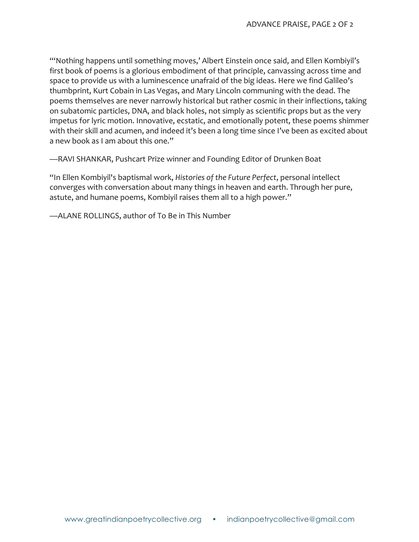"Nothing happens until something moves,' Albert Einstein once said, and Ellen Kombiyil's first book of poems is a glorious embodiment of that principle, canvassing across time and space to provide us with a luminescence unafraid of the big ideas. Here we find Galileo's thumbprint, Kurt Cobain in Las Vegas, and Mary Lincoln communing with the dead. The poems themselves are never narrowly historical but rather cosmic in their inflections, taking on subatomic particles, DNA, and black holes, not simply as scientific props but as the very impetus for lyric motion. Innovative, ecstatic, and emotionally potent, these poems shimmer with their skill and acumen, and indeed it's been a long time since I've been as excited about a new book as I am about this one."

—RAVI SHANKAR, Pushcart Prize winner and Founding Editor of Drunken Boat

"In Ellen Kombiyil's baptismal work, *Histories* of the Future Perfect, personal intellect converges with conversation about many things in heaven and earth. Through her pure, astute, and humane poems, Kombiyil raises them all to a high power."

-ALANE ROLLINGS, author of To Be in This Number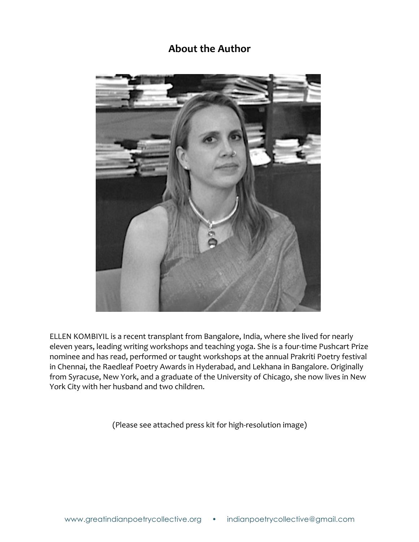# **About the Author**



ELLEN KOMBIYIL is a recent transplant from Bangalore, India, where she lived for nearly eleven years, leading writing workshops and teaching yoga. She is a four-time Pushcart Prize nominee and has read, performed or taught workshops at the annual Prakriti Poetry festival in Chennai, the Raedleaf Poetry Awards in Hyderabad, and Lekhana in Bangalore. Originally from Syracuse, New York, and a graduate of the University of Chicago, she now lives in New York City with her husband and two children.

(Please see attached press kit for high-resolution image)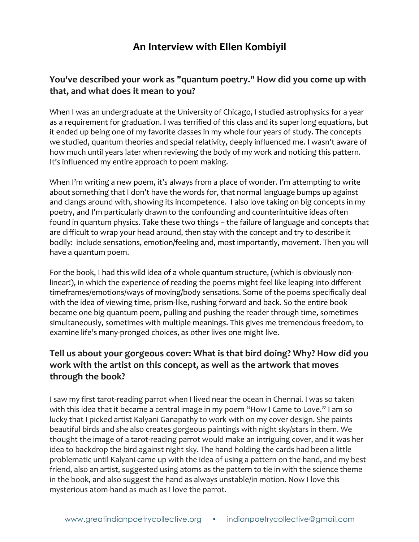# **An Interview with Ellen Kombiyil**

## You've described your work as "quantum poetry." How did you come up with that, and what does it mean to you?

When I was an undergraduate at the University of Chicago, I studied astrophysics for a year as a requirement for graduation. I was terrified of this class and its super long equations, but it ended up being one of my favorite classes in my whole four years of study. The concepts we studied, quantum theories and special relativity, deeply influenced me. I wasn't aware of how much until years later when reviewing the body of my work and noticing this pattern. It's influenced my entire approach to poem making.

When I'm writing a new poem, it's always from a place of wonder. I'm attempting to write about something that I don't have the words for, that normal language bumps up against and clangs around with, showing its incompetence. I also love taking on big concepts in my poetry, and I'm particularly drawn to the confounding and counterintuitive ideas often found in quantum physics. Take these two things - the failure of language and concepts that are difficult to wrap your head around, then stay with the concept and try to describe it bodily: include sensations, emotion/feeling and, most importantly, movement. Then you will have a quantum poem.

For the book, I had this wild idea of a whole quantum structure, (which is obviously nonlinear!), in which the experience of reading the poems might feel like leaping into different timeframes/emotions/ways of moving/body sensations. Some of the poems specifically deal with the idea of viewing time, prism-like, rushing forward and back. So the entire book became one big quantum poem, pulling and pushing the reader through time, sometimes simultaneously, sometimes with multiple meanings. This gives me tremendous freedom, to examine life's many-pronged choices, as other lives one might live.

# **Tell us about your gorgeous cover: What is that bird doing? Why? How did you** work with the artist on this concept, as well as the artwork that moves through the book?

I saw my first tarot-reading parrot when I lived near the ocean in Chennai. I was so taken with this idea that it became a central image in my poem "How I Came to Love." I am so lucky that I picked artist Kalyani Ganapathy to work with on my cover design. She paints beautiful birds and she also creates gorgeous paintings with night sky/stars in them. We thought the image of a tarot-reading parrot would make an intriguing cover, and it was her idea to backdrop the bird against night sky. The hand holding the cards had been a little problematic until Kalyani came up with the idea of using a pattern on the hand, and my best friend, also an artist, suggested using atoms as the pattern to tie in with the science theme in the book, and also suggest the hand as always unstable/in motion. Now I love this mysterious atom-hand as much as I love the parrot.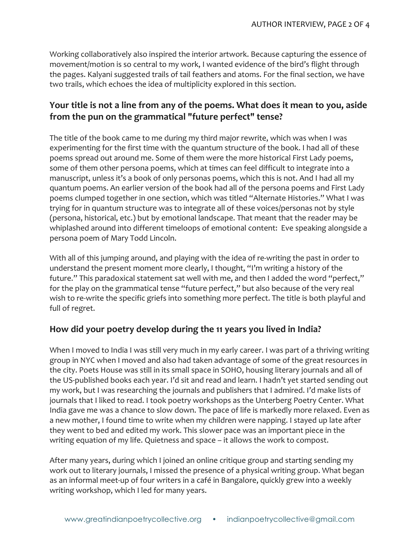Working collaboratively also inspired the interior artwork. Because capturing the essence of movement/motion is so central to my work, I wanted evidence of the bird's flight through the pages. Kalyani suggested trails of tail feathers and atoms. For the final section, we have two trails, which echoes the idea of multiplicity explored in this section.

## **Your title is not a line from any of the poems. What does it mean to you, aside** from the pun on the grammatical "future perfect" tense?

The title of the book came to me during my third major rewrite, which was when I was experimenting for the first time with the quantum structure of the book. I had all of these poems spread out around me. Some of them were the more historical First Lady poems, some of them other persona poems, which at times can feel difficult to integrate into a manuscript, unless it's a book of only personas poems, which this is not. And I had all my quantum poems. An earlier version of the book had all of the persona poems and First Lady poems clumped together in one section, which was titled "Alternate Histories." What I was trying for in quantum structure was to integrate all of these voices/personas not by style (persona, historical, etc.) but by emotional landscape. That meant that the reader may be whiplashed around into different timeloops of emotional content: Eve speaking alongside a persona poem of Mary Todd Lincoln.

With all of this jumping around, and playing with the idea of re-writing the past in order to understand the present moment more clearly, I thought, "I'm writing a history of the future." This paradoxical statement sat well with me, and then I added the word "perfect," for the play on the grammatical tense "future perfect," but also because of the very real wish to re-write the specific griefs into something more perfect. The title is both playful and full of regret.

### How did your poetry develop during the 11 years you lived in India?

When I moved to India I was still very much in my early career. I was part of a thriving writing group in NYC when I moved and also had taken advantage of some of the great resources in the city. Poets House was still in its small space in SOHO, housing literary journals and all of the US-published books each year. I'd sit and read and learn. I hadn't yet started sending out my work, but I was researching the journals and publishers that I admired. I'd make lists of journals that I liked to read. I took poetry workshops as the Unterberg Poetry Center. What India gave me was a chance to slow down. The pace of life is markedly more relaxed. Even as a new mother, I found time to write when my children were napping. I stayed up late after they went to bed and edited my work. This slower pace was an important piece in the writing equation of my life. Quietness and space - it allows the work to compost.

After many years, during which I joined an online critique group and starting sending my work out to literary journals, I missed the presence of a physical writing group. What began as an informal meet-up of four writers in a café in Bangalore, quickly grew into a weekly writing workshop, which I led for many years.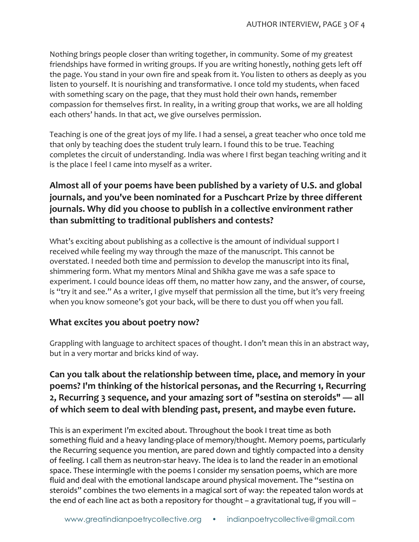Nothing brings people closer than writing together, in community. Some of my greatest friendships have formed in writing groups. If you are writing honestly, nothing gets left off the page. You stand in your own fire and speak from it. You listen to others as deeply as you listen to yourself. It is nourishing and transformative. I once told my students, when faced with something scary on the page, that they must hold their own hands, remember compassion for themselves first. In reality, in a writing group that works, we are all holding each others' hands. In that act, we give ourselves permission.

Teaching is one of the great joys of my life. I had a sensei, a great teacher who once told me that only by teaching does the student truly learn. I found this to be true. Teaching completes the circuit of understanding. India was where I first began teaching writing and it is the place I feel I came into myself as a writer.

# Almost all of your poems have been published by a variety of U.S. and global journals, and you've been nominated for a Puschcart Prize by three different journals. Why did you choose to publish in a collective environment rather than submitting to traditional publishers and contests?

What's exciting about publishing as a collective is the amount of individual support I received while feeling my way through the maze of the manuscript. This cannot be overstated. I needed both time and permission to develop the manuscript into its final, shimmering form. What my mentors Minal and Shikha gave me was a safe space to experiment. I could bounce ideas off them, no matter how zany, and the answer, of course, is "try it and see." As a writer, I give myself that permission all the time, but it's very freeing when you know someone's got your back, will be there to dust you off when you fall.

### **What excites you about poetry now?**

Grappling with language to architect spaces of thought. I don't mean this in an abstract way, but in a very mortar and bricks kind of way.

# Can you talk about the relationship between time, place, and memory in your **poems?** I'm thinking of the historical personas, and the Recurring 1, Recurring 2, Recurring 3 sequence, and your amazing sort of "sestina on steroids" — all **of which seem to deal with blending past, present, and maybe even future.**

This is an experiment I'm excited about. Throughout the book I treat time as both something fluid and a heavy landing-place of memory/thought. Memory poems, particularly the Recurring sequence you mention, are pared down and tightly compacted into a density of feeling. I call them as neutron-star heavy. The idea is to land the reader in an emotional space. These intermingle with the poems I consider my sensation poems, which are more fluid and deal with the emotional landscape around physical movement. The "sestina on steroids" combines the two elements in a magical sort of way: the repeated talon words at the end of each line act as both a repository for thought  $-$  a gravitational tug, if you will  $-$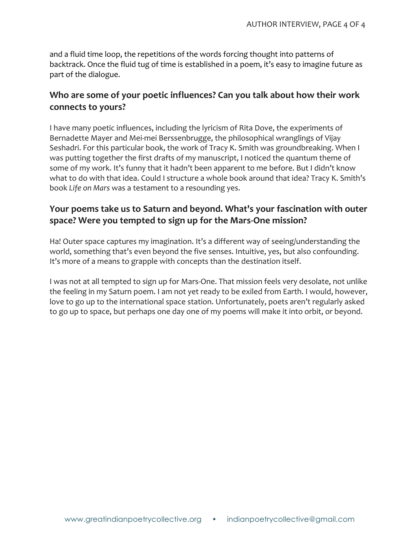and a fluid time loop, the repetitions of the words forcing thought into patterns of backtrack. Once the fluid tug of time is established in a poem, it's easy to imagine future as part of the dialogue.

### Who are some of your poetic influences? Can you talk about how their work **connects to yours?**

I have many poetic influences, including the lyricism of Rita Dove, the experiments of Bernadette Mayer and Mei-mei Berssenbrugge, the philosophical wranglings of Vijay Seshadri. For this particular book, the work of Tracy K. Smith was groundbreaking. When I was putting together the first drafts of my manuscript, I noticed the quantum theme of some of my work. It's funny that it hadn't been apparent to me before. But I didn't know what to do with that idea. Could I structure a whole book around that idea? Tracy K. Smith's book *Life* on Mars was a testament to a resounding yes.

## **Your poems take us to Saturn and beyond. What's your fascination with outer** space? Were you tempted to sign up for the Mars-One mission?

Ha! Outer space captures my imagination. It's a different way of seeing/understanding the world, something that's even beyond the five senses. Intuitive, yes, but also confounding. It's more of a means to grapple with concepts than the destination itself.

I was not at all tempted to sign up for Mars-One. That mission feels very desolate, not unlike the feeling in my Saturn poem. I am not yet ready to be exiled from Earth. I would, however, love to go up to the international space station. Unfortunately, poets aren't regularly asked to go up to space, but perhaps one day one of my poems will make it into orbit, or beyond.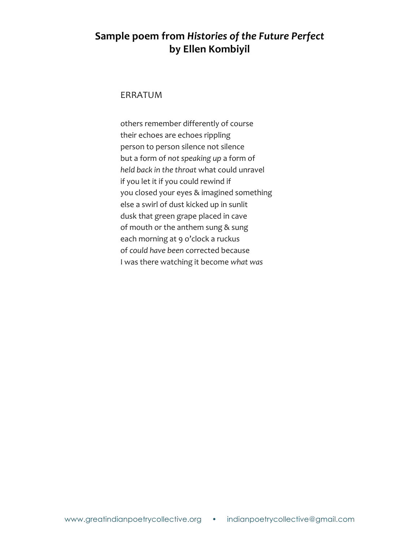# **Sample poem from** *Histories of the Future Perfect* **by Ellen Kombiyil**

### ERRATUM

others remember differently of course their echoes are echoes rippling person to person silence not silence but a form of not speaking up a form of *held back in the throat* what could unravel if you let it if you could rewind if you closed your eyes & imagined something else a swirl of dust kicked up in sunlit dusk that green grape placed in cave of mouth or the anthem sung & sung each morning at 9 o'clock a ruckus of could have been corrected because I was there watching it become what was